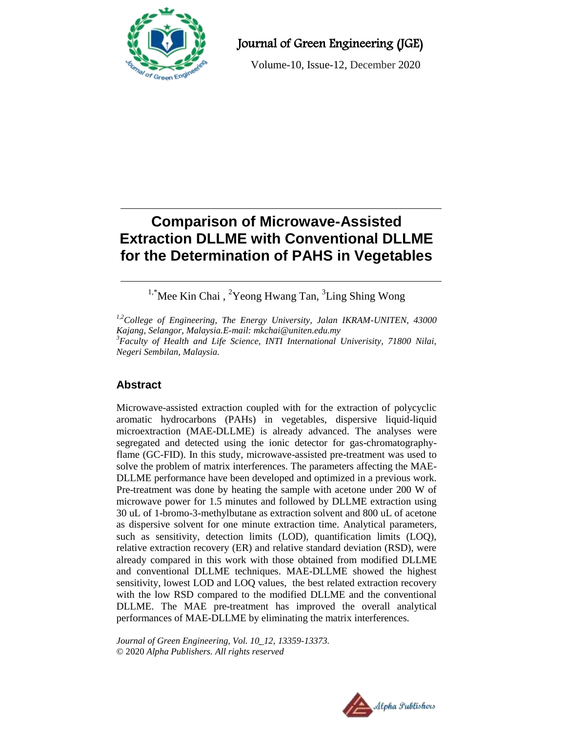

Journal of Green Engineering (JGE)

Volume-10, Issue-12, December 2020

# **Comparison of Microwave-Assisted Extraction DLLME with Conventional DLLME for the Determination of PAHS in Vegetables**

<sup>1,\*</sup>Mee Kin Chai, <sup>2</sup>Yeong Hwang Tan, <sup>3</sup>Ling Shing Wong

*1,2College of Engineering, The Energy University, Jalan IKRAM-UNITEN, 43000 Kajang, Selangor, Malaysia.E-mail: mkchai@uniten.edu.my <sup>3</sup>Faculty of Health and Life Science, INTI International Univerisity, 71800 Nilai, Negeri Sembilan, Malaysia.*

## **Abstract**

Microwave-assisted extraction coupled with for the extraction of polycyclic aromatic hydrocarbons (PAHs) in vegetables, dispersive liquid-liquid microextraction (MAE-DLLME) is already advanced. The analyses were segregated and detected using the ionic detector for gas-chromatographyflame (GC-FID). In this study, microwave-assisted pre-treatment was used to solve the problem of matrix interferences. The parameters affecting the MAE-DLLME performance have been developed and optimized in a previous work. Pre-treatment was done by heating the sample with acetone under 200 W of microwave power for 1.5 minutes and followed by DLLME extraction using 30 uL of 1-bromo-3-methylbutane as extraction solvent and 800 uL of acetone as dispersive solvent for one minute extraction time. Analytical parameters, such as sensitivity, detection limits (LOD), quantification limits (LOQ), relative extraction recovery (ER) and relative standard deviation (RSD), were already compared in this work with those obtained from modified DLLME and conventional DLLME techniques. MAE-DLLME showed the highest sensitivity, lowest LOD and LOQ values, the best related extraction recovery with the low RSD compared to the modified DLLME and the conventional DLLME. The MAE pre-treatment has improved the overall analytical performances of MAE-DLLME by eliminating the matrix interferences.

*Journal of Green Engineering, Vol. 10\_12, 13359-13373.* © 2020 *Alpha Publishers. All rights reserved*

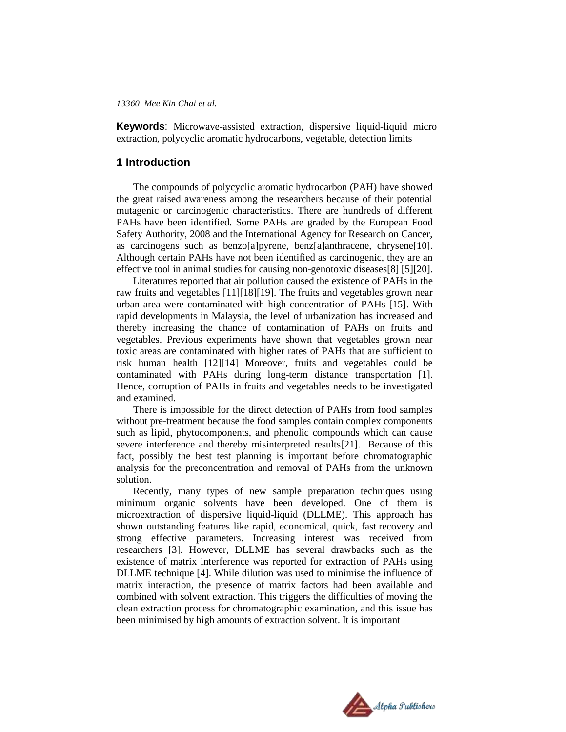**Keywords**: Microwave-assisted extraction, dispersive liquid-liquid micro extraction, polycyclic aromatic hydrocarbons, vegetable, detection limits

### **1 Introduction**

The compounds of polycyclic aromatic hydrocarbon (PAH) have showed the great raised awareness among the researchers because of their potential mutagenic or carcinogenic characteristics. There are hundreds of different PAHs have been identified. Some PAHs are graded by the European Food Safety Authority, 2008 and the International Agency for Research on Cancer, as carcinogens such as benzo[a]pyrene, benz[a]anthracene, chrysene[10]. Although certain PAHs have not been identified as carcinogenic, they are an effective tool in animal studies for causing non-genotoxic diseases[8] [5][20].

Literatures reported that air pollution caused the existence of PAHs in the raw fruits and vegetables [11][18][19]. The fruits and vegetables grown near urban area were contaminated with high concentration of PAHs [15]. With rapid developments in Malaysia, the level of urbanization has increased and thereby increasing the chance of contamination of PAHs on fruits and vegetables. Previous experiments have shown that vegetables grown near toxic areas are contaminated with higher rates of PAHs that are sufficient to risk human health [12][14] Moreover, fruits and vegetables could be contaminated with PAHs during long-term distance transportation [1]. Hence, corruption of PAHs in fruits and vegetables needs to be investigated and examined.

There is impossible for the direct detection of PAHs from food samples without pre-treatment because the food samples contain complex components such as lipid, phytocomponents, and phenolic compounds which can cause severe interference and thereby misinterpreted results[21]. Because of this fact, possibly the best test planning is important before chromatographic analysis for the preconcentration and removal of PAHs from the unknown solution.

Recently, many types of new sample preparation techniques using minimum organic solvents have been developed. One of them is microextraction of dispersive liquid-liquid (DLLME). This approach has shown outstanding features like rapid, economical, quick, fast recovery and strong effective parameters. Increasing interest was received from researchers [3]. However, DLLME has several drawbacks such as the existence of matrix interference was reported for extraction of PAHs using DLLME technique [4]. While dilution was used to minimise the influence of matrix interaction, the presence of matrix factors had been available and combined with solvent extraction. This triggers the difficulties of moving the clean extraction process for chromatographic examination, and this issue has been minimised by high amounts of extraction solvent. It is important

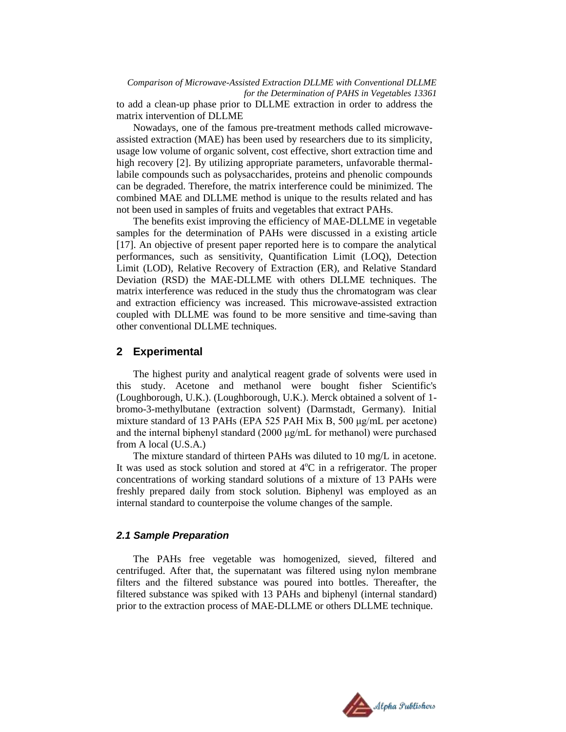*Comparison of Microwave-Assisted Extraction DLLME with Conventional DLLME for the Determination of PAHS in Vegetables 13361* to add a clean-up phase prior to DLLME extraction in order to address the matrix intervention of DLLME

Nowadays, one of the famous pre-treatment methods called microwaveassisted extraction (MAE) has been used by researchers due to its simplicity, usage low volume of organic solvent, cost effective, short extraction time and high recovery [2]. By utilizing appropriate parameters, unfavorable thermallabile compounds such as polysaccharides, proteins and phenolic compounds can be degraded. Therefore, the matrix interference could be minimized. The combined MAE and DLLME method is unique to the results related and has not been used in samples of fruits and vegetables that extract PAHs.

The benefits exist improving the efficiency of MAE-DLLME in vegetable samples for the determination of PAHs were discussed in a existing article [17]. An objective of present paper reported here is to compare the analytical performances, such as sensitivity, Quantification Limit (LOQ), Detection Limit (LOD), Relative Recovery of Extraction (ER), and Relative Standard Deviation (RSD) the MAE-DLLME with others DLLME techniques. The matrix interference was reduced in the study thus the chromatogram was clear and extraction efficiency was increased. This microwave-assisted extraction coupled with DLLME was found to be more sensitive and time-saving than other conventional DLLME techniques.

#### **2 Experimental**

The highest purity and analytical reagent grade of solvents were used in this study. Acetone and methanol were bought fisher Scientific's (Loughborough, U.K.). (Loughborough, U.K.). Merck obtained a solvent of 1 bromo-3-methylbutane (extraction solvent) (Darmstadt, Germany). Initial mixture standard of 13 PAHs (EPA 525 PAH Mix B, 500 μg/mL per acetone) and the internal biphenyl standard (2000 μg/mL for methanol) were purchased from A local (U.S.A.)

The mixture standard of thirteen PAHs was diluted to 10 mg/L in acetone. It was used as stock solution and stored at  $4^{\circ}C$  in a refrigerator. The proper concentrations of working standard solutions of a mixture of 13 PAHs were freshly prepared daily from stock solution. Biphenyl was employed as an internal standard to counterpoise the volume changes of the sample.

### *2.1 Sample Preparation*

The PAHs free vegetable was homogenized, sieved, filtered and centrifuged. After that, the supernatant was filtered using nylon membrane filters and the filtered substance was poured into bottles. Thereafter, the filtered substance was spiked with 13 PAHs and biphenyl (internal standard) prior to the extraction process of MAE-DLLME or others DLLME technique.

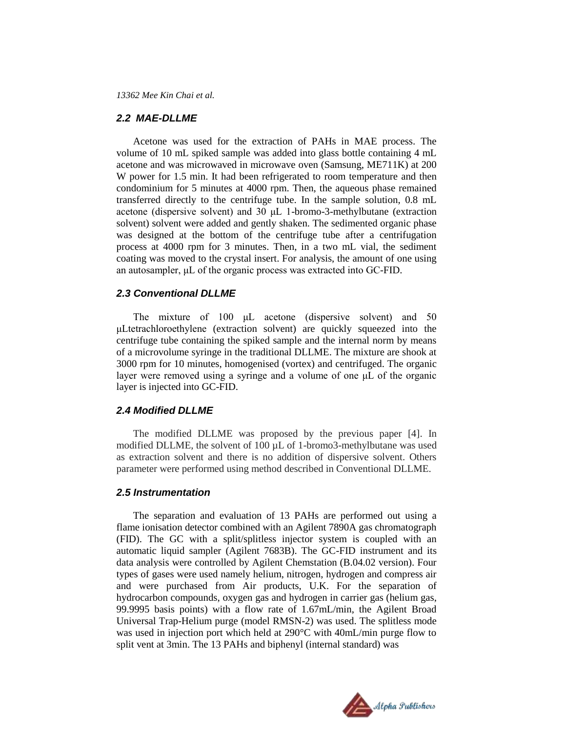#### *2.2 MAE-DLLME*

Acetone was used for the extraction of PAHs in MAE process. The volume of 10 mL spiked sample was added into glass bottle containing 4 mL acetone and was microwaved in microwave oven (Samsung, ME711K) at 200 W power for 1.5 min. It had been refrigerated to room temperature and then condominium for 5 minutes at 4000 rpm. Then, the aqueous phase remained transferred directly to the centrifuge tube. In the sample solution, 0.8 mL acetone (dispersive solvent) and 30 μL 1-bromo-3-methylbutane (extraction solvent) solvent were added and gently shaken. The sedimented organic phase was designed at the bottom of the centrifuge tube after a centrifugation process at 4000 rpm for 3 minutes. Then, in a two mL vial, the sediment coating was moved to the crystal insert. For analysis, the amount of one using an autosampler, μL of the organic process was extracted into GC-FID.

### *2.3 Conventional DLLME*

The mixture of 100 μL acetone (dispersive solvent) and 50 μLtetrachloroethylene (extraction solvent) are quickly squeezed into the centrifuge tube containing the spiked sample and the internal norm by means of a microvolume syringe in the traditional DLLME. The mixture are shook at 3000 rpm for 10 minutes, homogenised (vortex) and centrifuged. The organic layer were removed using a syringe and a volume of one μL of the organic layer is injected into GC-FID.

#### *2.4 Modified DLLME*

The modified DLLME was proposed by the previous paper [4]. In modified DLLME, the solvent of 100 µL of 1-bromo3-methylbutane was used as extraction solvent and there is no addition of dispersive solvent. Others parameter were performed using method described in Conventional DLLME.

#### *2.5 Instrumentation*

The separation and evaluation of 13 PAHs are performed out using a flame ionisation detector combined with an Agilent 7890A gas chromatograph (FID). The GC with a split/splitless injector system is coupled with an automatic liquid sampler (Agilent 7683B). The GC-FID instrument and its data analysis were controlled by Agilent Chemstation (B.04.02 version). Four types of gases were used namely helium, nitrogen, hydrogen and compress air and were purchased from Air products, U.K. For the separation of hydrocarbon compounds, oxygen gas and hydrogen in carrier gas (helium gas, 99.9995 basis points) with a flow rate of 1.67mL/min, the Agilent Broad Universal Trap-Helium purge (model RMSN-2) was used. The splitless mode was used in injection port which held at 290°C with 40mL/min purge flow to split vent at 3min. The 13 PAHs and biphenyl (internal standard) was

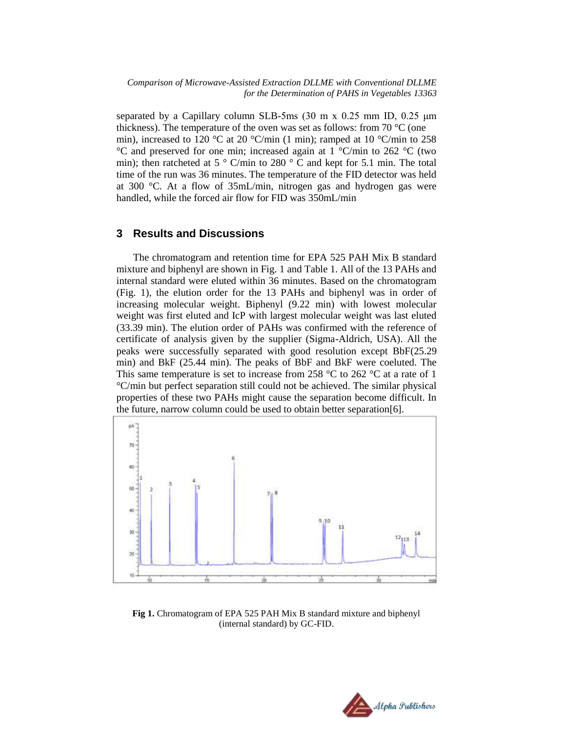separated by a Capillary column SLB-5ms (30 m x 0.25 mm ID, 0.25 μm thickness). The temperature of the oven was set as follows: from  $70^{\circ}$ C (one min), increased to 120 °C at 20 °C/min (1 min); ramped at 10 °C/min to 258 °C and preserved for one min; increased again at 1 °C/min to 262 °C (two min); then ratcheted at 5  $\degree$  C/min to 280  $\degree$  C and kept for 5.1 min. The total time of the run was 36 minutes. The temperature of the FID detector was held at 300 °C. At a flow of 35mL/min, nitrogen gas and hydrogen gas were handled, while the forced air flow for FID was 350mL/min

### **3 Results and Discussions**

The chromatogram and retention time for EPA 525 PAH Mix B standard mixture and biphenyl are shown in Fig. 1 and Table 1. All of the 13 PAHs and internal standard were eluted within 36 minutes. Based on the chromatogram (Fig. 1), the elution order for the 13 PAHs and biphenyl was in order of increasing molecular weight. Biphenyl (9.22 min) with lowest molecular weight was first eluted and IcP with largest molecular weight was last eluted (33.39 min). The elution order of PAHs was confirmed with the reference of certificate of analysis given by the supplier (Sigma-Aldrich, USA). All the peaks were successfully separated with good resolution except BbF(25.29 min) and BkF (25.44 min). The peaks of BbF and BkF were coeluted. The This same temperature is set to increase from 258  $\degree$ C to 262  $\degree$ C at a rate of 1 °C/min but perfect separation still could not be achieved. The similar physical properties of these two PAHs might cause the separation become difficult. In the future, narrow column could be used to obtain better separation[6].



**Fig 1.** Chromatogram of EPA 525 PAH Mix B standard mixture and biphenyl (internal standard) by GC-FID.

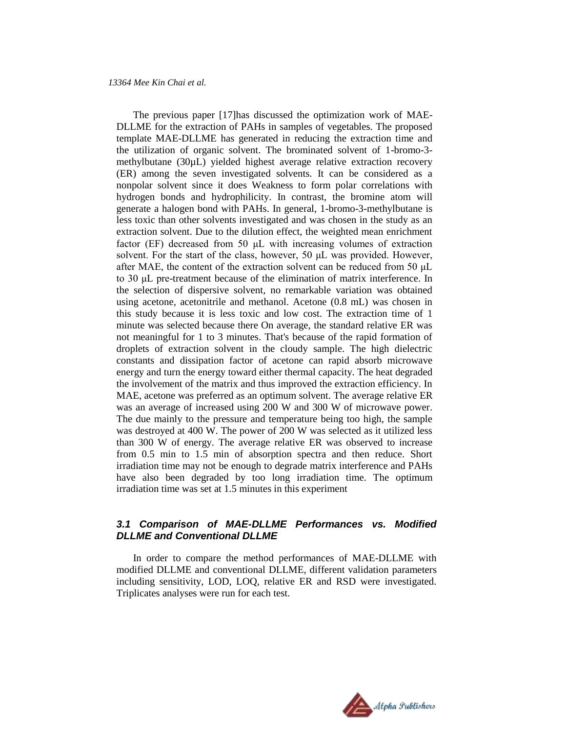The previous paper [17]has discussed the optimization work of MAE-DLLME for the extraction of PAHs in samples of vegetables. The proposed template MAE-DLLME has generated in reducing the extraction time and the utilization of organic solvent. The brominated solvent of 1-bromo-3 methylbutane (30µL) yielded highest average relative extraction recovery (ER) among the seven investigated solvents. It can be considered as a nonpolar solvent since it does Weakness to form polar correlations with hydrogen bonds and hydrophilicity. In contrast, the bromine atom will generate a halogen bond with PAHs. In general, 1-bromo-3-methylbutane is less toxic than other solvents investigated and was chosen in the study as an extraction solvent. Due to the dilution effect, the weighted mean enrichment factor (EF) decreased from 50 μL with increasing volumes of extraction solvent. For the start of the class, however, 50 μL was provided. However, after MAE, the content of the extraction solvent can be reduced from 50 μL to 30 μL pre-treatment because of the elimination of matrix interference. In the selection of dispersive solvent, no remarkable variation was obtained using acetone, acetonitrile and methanol. Acetone (0.8 mL) was chosen in this study because it is less toxic and low cost. The extraction time of 1 minute was selected because there On average, the standard relative ER was not meaningful for 1 to 3 minutes. That's because of the rapid formation of droplets of extraction solvent in the cloudy sample. The high dielectric constants and dissipation factor of acetone can rapid absorb microwave energy and turn the energy toward either thermal capacity. The heat degraded the involvement of the matrix and thus improved the extraction efficiency. In MAE, acetone was preferred as an optimum solvent. The average relative ER was an average of increased using 200 W and 300 W of microwave power. The due mainly to the pressure and temperature being too high, the sample was destroyed at 400 W. The power of 200 W was selected as it utilized less than 300 W of energy. The average relative ER was observed to increase from 0.5 min to 1.5 min of absorption spectra and then reduce. Short irradiation time may not be enough to degrade matrix interference and PAHs have also been degraded by too long irradiation time. The optimum irradiation time was set at 1.5 minutes in this experiment

## *3.1 Comparison of MAE-DLLME Performances vs. Modified DLLME and Conventional DLLME*

In order to compare the method performances of MAE-DLLME with modified DLLME and conventional DLLME, different validation parameters including sensitivity, LOD, LOQ, relative ER and RSD were investigated. Triplicates analyses were run for each test.

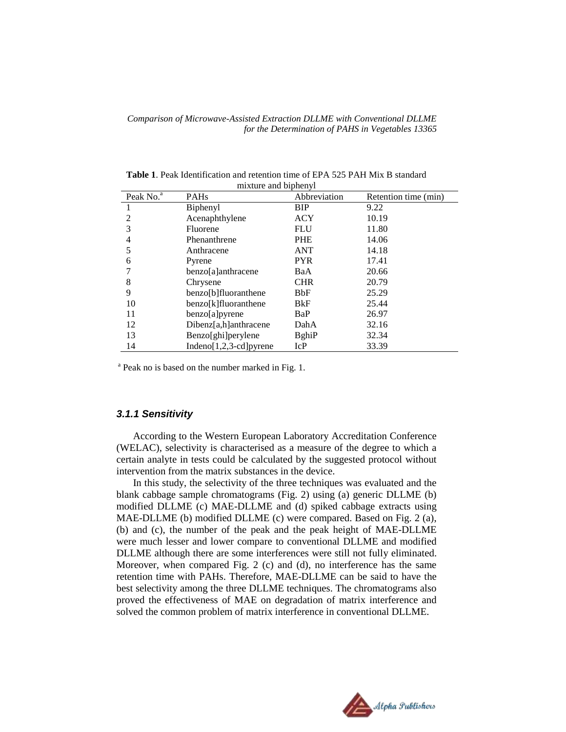| Peak No. <sup>a</sup> | <b>PAHs</b>                 | Abbreviation  | Retention time (min) |
|-----------------------|-----------------------------|---------------|----------------------|
|                       | Biphenyl                    | BIP           | 9.22                 |
| $\mathfrak{D}$        | Acenaphthylene              | <b>ACY</b>    | 10.19                |
| 3                     | Fluorene                    | <b>FLU</b>    | 11.80                |
|                       | Phenanthrene                | <b>PHE</b>    | 14.06                |
| 5                     | Anthracene                  | ANT           | 14.18                |
| 6                     | Pyrene                      | <b>PYR</b>    | 17.41                |
|                       | benzo[a]anthracene          | BaA           | 20.66                |
| 8                     | Chrysene                    | <b>CHR</b>    | 20.79                |
| 9                     | benzo[b]fluoranthene        | <b>BbF</b>    | 25.29                |
| 10                    | benzo[k]fluoranthene        | BkF           | 25.44                |
| 11                    | benzo[a]pyrene              | BaP           | 26.97                |
| 12                    | $Dibenz[a,h]$ anthracene    | DahA          | 32.16                |
| 13                    | Benzo[ghi]perylene          | <b>B</b> ghiP | 32.34                |
| 14                    | Indeno[ $1,2,3$ -cd] pyrene | IcP           | 33.39                |

**Table 1**. Peak Identification and retention time of EPA 525 PAH Mix B standard mixture and biphenyl

<sup>a</sup> Peak no is based on the number marked in Fig. 1.

#### *3.1.1 Sensitivity*

According to the Western European Laboratory Accreditation Conference (WELAC), selectivity is characterised as a measure of the degree to which a certain analyte in tests could be calculated by the suggested protocol without intervention from the matrix substances in the device.

In this study, the selectivity of the three techniques was evaluated and the blank cabbage sample chromatograms (Fig. 2) using (a) generic DLLME (b) modified DLLME (c) MAE-DLLME and (d) spiked cabbage extracts using MAE-DLLME (b) modified DLLME (c) were compared. Based on Fig. 2 (a), (b) and (c), the number of the peak and the peak height of MAE-DLLME were much lesser and lower compare to conventional DLLME and modified DLLME although there are some interferences were still not fully eliminated. Moreover, when compared Fig. 2 (c) and (d), no interference has the same retention time with PAHs. Therefore, MAE-DLLME can be said to have the best selectivity among the three DLLME techniques. The chromatograms also proved the effectiveness of MAE on degradation of matrix interference and solved the common problem of matrix interference in conventional DLLME.

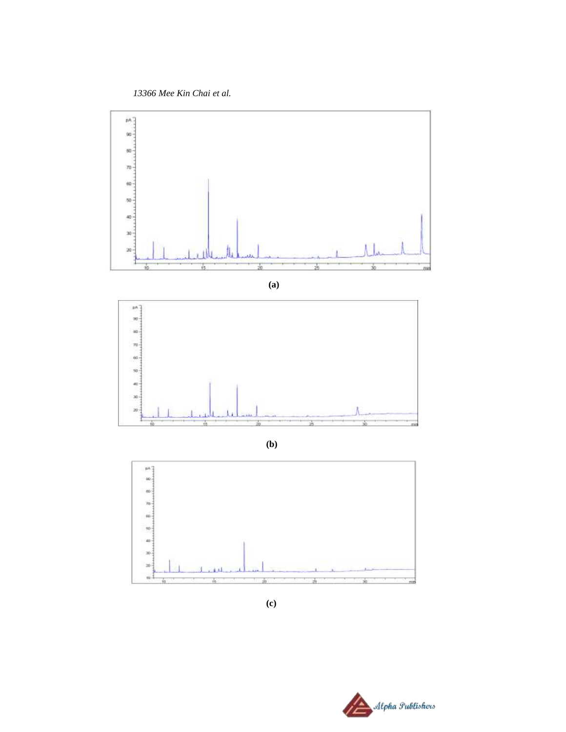*13366 Mee Kin Chai et al.*



**(b)**



**(c)**

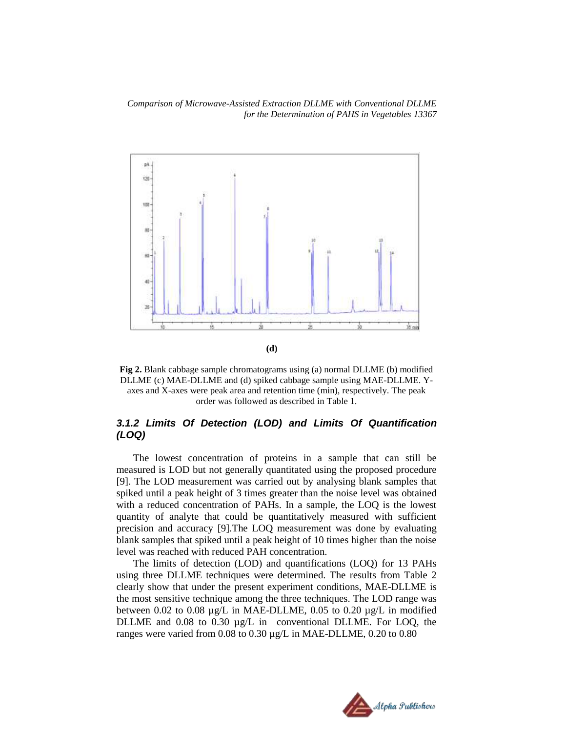



## *3.1.2 Limits Of Detection (LOD) and Limits Of Quantification (LOQ)*

The lowest concentration of proteins in a sample that can still be measured is LOD but not generally quantitated using the proposed procedure [9]. The LOD measurement was carried out by analysing blank samples that spiked until a peak height of 3 times greater than the noise level was obtained with a reduced concentration of PAHs. In a sample, the LOQ is the lowest quantity of analyte that could be quantitatively measured with sufficient precision and accuracy [9].The LOQ measurement was done by evaluating blank samples that spiked until a peak height of 10 times higher than the noise level was reached with reduced PAH concentration.

The limits of detection (LOD) and quantifications (LOQ) for 13 PAHs using three DLLME techniques were determined. The results from Table 2 clearly show that under the present experiment conditions, MAE-DLLME is the most sensitive technique among the three techniques. The LOD range was between 0.02 to 0.08  $\mu$ g/L in MAE-DLLME, 0.05 to 0.20  $\mu$ g/L in modified DLLME and 0.08 to 0.30 µg/L in conventional DLLME. For LOQ, the ranges were varied from 0.08 to 0.30 µg/L in MAE-DLLME, 0.20 to 0.80

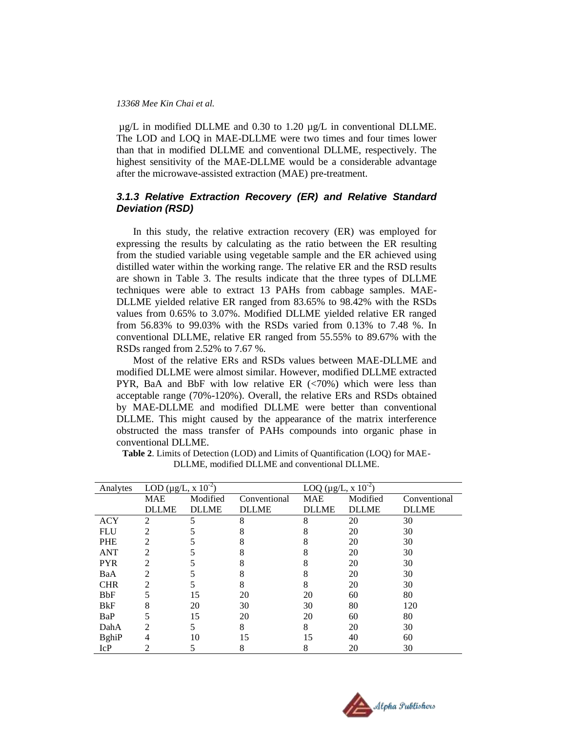µg/L in modified DLLME and 0.30 to 1.20 µg/L in conventional DLLME. The LOD and LOQ in MAE-DLLME were two times and four times lower than that in modified DLLME and conventional DLLME, respectively. The highest sensitivity of the MAE-DLLME would be a considerable advantage after the microwave-assisted extraction (MAE) pre-treatment.

## *3.1.3 Relative Extraction Recovery (ER) and Relative Standard Deviation (RSD)*

In this study, the relative extraction recovery (ER) was employed for expressing the results by calculating as the ratio between the ER resulting from the studied variable using vegetable sample and the ER achieved using distilled water within the working range. The relative ER and the RSD results are shown in Table 3. The results indicate that the three types of DLLME techniques were able to extract 13 PAHs from cabbage samples. MAE-DLLME yielded relative ER ranged from 83.65% to 98.42% with the RSDs values from 0.65% to 3.07%. Modified DLLME yielded relative ER ranged from 56.83% to 99.03% with the RSDs varied from 0.13% to 7.48 %. In conventional DLLME, relative ER ranged from 55.55% to 89.67% with the RSDs ranged from 2.52% to 7.67 %.

Most of the relative ERs and RSDs values between MAE-DLLME and modified DLLME were almost similar. However, modified DLLME extracted PYR, BaA and BbF with low relative ER  $\langle$  <70%) which were less than acceptable range (70%-120%). Overall, the relative ERs and RSDs obtained by MAE-DLLME and modified DLLME were better than conventional DLLME. This might caused by the appearance of the matrix interference obstructed the mass transfer of PAHs compounds into organic phase in conventional DLLME.

| Analytes     | LOD ( $\mu$ g/L, x 10 <sup>-2</sup> ) |              |              | LOQ ( $\mu$ g/L, x 10 <sup>-2</sup> ) |              |              |
|--------------|---------------------------------------|--------------|--------------|---------------------------------------|--------------|--------------|
|              | <b>MAE</b>                            | Modified     | Conventional | <b>MAE</b>                            | Modified     | Conventional |
|              | <b>DLLME</b>                          | <b>DLLME</b> | <b>DLLME</b> | <b>DLLME</b>                          | <b>DLLME</b> | <b>DLLME</b> |
| <b>ACY</b>   | $\overline{2}$                        | 5            | 8            | 8                                     | 20           | 30           |
| <b>FLU</b>   | $\overline{2}$                        |              | 8            | 8                                     | 20           | 30           |
| <b>PHE</b>   | $\overline{c}$                        |              |              | 8                                     | 20           | 30           |
| <b>ANT</b>   | 2                                     |              | 8            | 8                                     | 20           | 30           |
| <b>PYR</b>   | $\overline{2}$                        |              | 8            | 8                                     | 20           | 30           |
| BaA          | $\overline{2}$                        |              | 8            | 8                                     | 20           | 30           |
| <b>CHR</b>   | $\overline{c}$                        |              | 8            | 8                                     | 20           | 30           |
| <b>BbF</b>   | 5                                     | 15           | 20           | 20                                    | 60           | 80           |
| <b>B</b> kF  | 8                                     | 20           | 30           | 30                                    | 80           | 120          |
| BaP          | 5                                     | 15           | 20           | 20                                    | 60           | 80           |
| DahA         | $\overline{c}$                        | 5            | 8            | 8                                     | 20           | 30           |
| <b>BghiP</b> | 4                                     | 10           | 15           | 15                                    | 40           | 60           |
| <b>IcP</b>   | 2                                     |              | 8            | 8                                     | 20           | 30           |
|              |                                       |              |              |                                       |              |              |

**Table 2**. Limits of Detection (LOD) and Limits of Quantification (LOQ) for MAE-DLLME, modified DLLME and conventional DLLME.

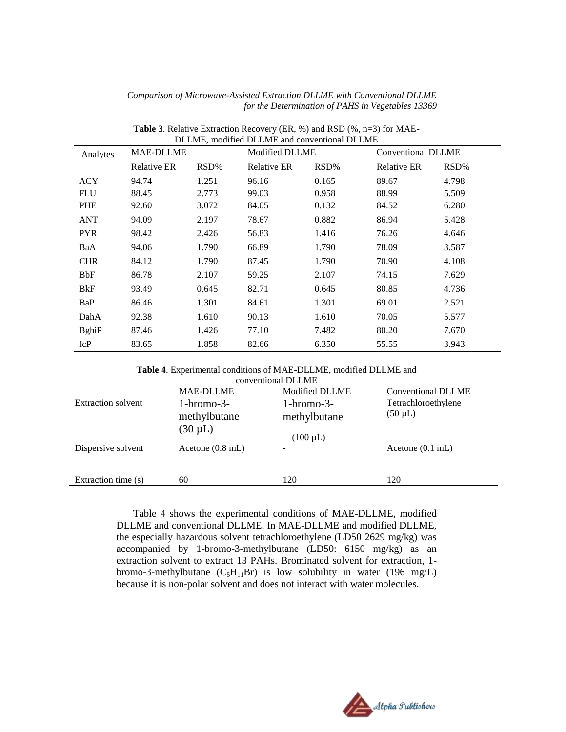| DLLME, modified DLLME and conventional DLLME |                    |       |                       |       |                           |       |
|----------------------------------------------|--------------------|-------|-----------------------|-------|---------------------------|-------|
| Analytes                                     | <b>MAE-DLLME</b>   |       | <b>Modified DLLME</b> |       | <b>Conventional DLLME</b> |       |
|                                              | <b>Relative ER</b> | RSD%  | <b>Relative ER</b>    | RSD%  | Relative ER               | RSD%  |
| <b>ACY</b>                                   | 94.74              | 1.251 | 96.16                 | 0.165 | 89.67                     | 4.798 |
| <b>FLU</b>                                   | 88.45              | 2.773 | 99.03                 | 0.958 | 88.99                     | 5.509 |
| <b>PHE</b>                                   | 92.60              | 3.072 | 84.05                 | 0.132 | 84.52                     | 6.280 |
| <b>ANT</b>                                   | 94.09              | 2.197 | 78.67                 | 0.882 | 86.94                     | 5.428 |
| <b>PYR</b>                                   | 98.42              | 2.426 | 56.83                 | 1.416 | 76.26                     | 4.646 |
| BaA                                          | 94.06              | 1.790 | 66.89                 | 1.790 | 78.09                     | 3.587 |
| <b>CHR</b>                                   | 84.12              | 1.790 | 87.45                 | 1.790 | 70.90                     | 4.108 |
| BbF                                          | 86.78              | 2.107 | 59.25                 | 2.107 | 74.15                     | 7.629 |
| BkF                                          | 93.49              | 0.645 | 82.71                 | 0.645 | 80.85                     | 4.736 |
| BaP                                          | 86.46              | 1.301 | 84.61                 | 1.301 | 69.01                     | 2.521 |
| DahA                                         | 92.38              | 1.610 | 90.13                 | 1.610 | 70.05                     | 5.577 |
| <b>B</b> ghiP                                | 87.46              | 1.426 | 77.10                 | 7.482 | 80.20                     | 7.670 |
| IcP                                          | 83.65              | 1.858 | 82.66                 | 6.350 | 55.55                     | 3.943 |

**Table 3**. Relative Extraction Recovery (ER, %) and RSD (%, n=3) for MAE-

| Table 4. Experimental conditions of MAE-DLLME, modified DLLME and |                     |  |  |
|-------------------------------------------------------------------|---------------------|--|--|
|                                                                   | conventional DLI ME |  |  |

| conventional DLLME        |                                              |                                               |                                     |  |  |  |
|---------------------------|----------------------------------------------|-----------------------------------------------|-------------------------------------|--|--|--|
|                           | <b>MAE-DLLME</b>                             | <b>Modified DLLME</b>                         | <b>Conventional DLLME</b>           |  |  |  |
| <b>Extraction solvent</b> | $1-bromo-3-$<br>methylbutane<br>$(30 \mu L)$ | $1-bromo-3-$<br>methylbutane<br>$(100 \mu L)$ | Tetrachloroethylene<br>$(50 \mu L)$ |  |  |  |
| Dispersive solvent        | Acetone $(0.8 \text{ mL})$                   |                                               | Acetone $(0.1 \text{ mL})$          |  |  |  |
| Extraction time (s)       | 60                                           | 120                                           | 120                                 |  |  |  |

Table 4 shows the experimental conditions of MAE-DLLME, modified DLLME and conventional DLLME. In MAE-DLLME and modified DLLME, the especially hazardous solvent tetrachloroethylene (LD50 2629 mg/kg) was accompanied by 1-bromo-3-methylbutane (LD50: 6150 mg/kg) as an extraction solvent to extract 13 PAHs. Brominated solvent for extraction, 1 bromo-3-methylbutane  $(C_5H_{11}Br)$  is low solubility in water (196 mg/L) because it is non-polar solvent and does not interact with water molecules.

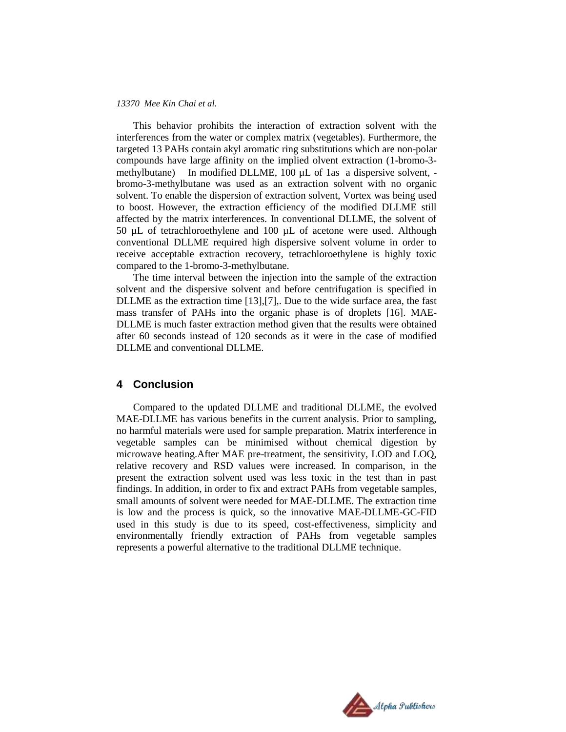This behavior prohibits the interaction of extraction solvent with the interferences from the water or complex matrix (vegetables). Furthermore, the targeted 13 PAHs contain akyl aromatic ring substitutions which are non-polar compounds have large affinity on the implied olvent extraction (1-bromo-3 methylbutane) In modified DLLME, 100 µL of 1as a dispersive solvent, bromo-3-methylbutane was used as an extraction solvent with no organic solvent. To enable the dispersion of extraction solvent, Vortex was being used to boost. However, the extraction efficiency of the modified DLLME still affected by the matrix interferences. In conventional DLLME, the solvent of 50 µL of tetrachloroethylene and 100 µL of acetone were used. Although conventional DLLME required high dispersive solvent volume in order to receive acceptable extraction recovery, tetrachloroethylene is highly toxic compared to the 1-bromo-3-methylbutane.

The time interval between the injection into the sample of the extraction solvent and the dispersive solvent and before centrifugation is specified in DLLME as the extraction time [13],[7],. Due to the wide surface area, the fast mass transfer of PAHs into the organic phase is of droplets [16]. MAE-DLLME is much faster extraction method given that the results were obtained after 60 seconds instead of 120 seconds as it were in the case of modified DLLME and conventional DLLME.

## **4 Conclusion**

Compared to the updated DLLME and traditional DLLME, the evolved MAE-DLLME has various benefits in the current analysis. Prior to sampling, no harmful materials were used for sample preparation. Matrix interference in vegetable samples can be minimised without chemical digestion by microwave heating.After MAE pre-treatment, the sensitivity, LOD and LOQ, relative recovery and RSD values were increased. In comparison, in the present the extraction solvent used was less toxic in the test than in past findings. In addition, in order to fix and extract PAHs from vegetable samples, small amounts of solvent were needed for MAE-DLLME. The extraction time is low and the process is quick, so the innovative MAE-DLLME-GC-FID used in this study is due to its speed, cost-effectiveness, simplicity and environmentally friendly extraction of PAHs from vegetable samples represents a powerful alternative to the traditional DLLME technique.

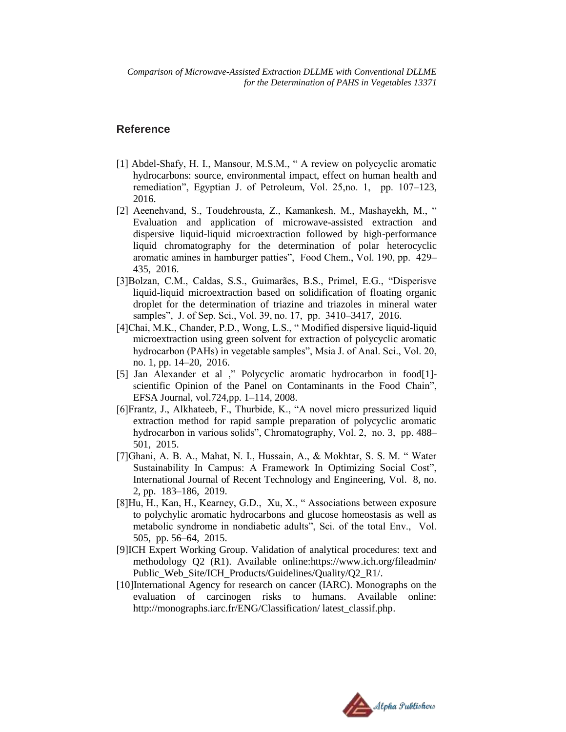## **Reference**

- [1] Abdel-Shafy, H. I., Mansour, M.S.M., " A review on polycyclic aromatic hydrocarbons: source, environmental impact, effect on human health and remediation", Egyptian J. of Petroleum, Vol. 25,no. 1, pp. 107–123, 2016.
- [2] Aeenehvand, S., Toudehrousta, Z., Kamankesh, M., Mashayekh, M., " Evaluation and application of microwave-assisted extraction and dispersive liquid-liquid microextraction followed by high-performance liquid chromatography for the determination of polar heterocyclic aromatic amines in hamburger patties", Food Chem., Vol. 190, pp. 429– 435, 2016.
- [3]Bolzan, C.M., Caldas, S.S., Guimarães, B.S., Primel, E.G., "Disperisve liquid-liquid microextraction based on solidification of floating organic droplet for the determination of triazine and triazoles in mineral water samples", J. of Sep. Sci., Vol. 39, no. 17, pp. 3410–3417, 2016.
- [4]Chai, M.K., Chander, P.D., Wong, L.S., " Modified dispersive liquid-liquid microextraction using green solvent for extraction of polycyclic aromatic hydrocarbon (PAHs) in vegetable samples", Msia J. of Anal. Sci., Vol. 20, no. 1, pp. 14–20, 2016.
- [5] Jan Alexander et al ," Polycyclic aromatic hydrocarbon in food[1] scientific Opinion of the Panel on Contaminants in the Food Chain", EFSA Journal, vol.724,pp. 1–114, 2008.
- [6]Frantz, J., Alkhateeb, F., Thurbide, K., "A novel micro pressurized liquid extraction method for rapid sample preparation of polycyclic aromatic hydrocarbon in various solids", Chromatography, Vol. 2, no. 3, pp. 488– 501, 2015.
- [7]Ghani, A. B. A., Mahat, N. I., Hussain, A., & Mokhtar, S. S. M. " Water Sustainability In Campus: A Framework In Optimizing Social Cost", International Journal of Recent Technology and Engineering, Vol. 8, no. 2, pp. 183–186, 2019.
- [8]Hu, H., Kan, H., Kearney, G.D., Xu, X., " Associations between exposure to polychylic aromatic hydrocarbons and glucose homeostasis as well as metabolic syndrome in nondiabetic adults", Sci. of the total Env., Vol. 505, pp. 56–64, 2015.
- [9]ICH Expert Working Group. Validation of analytical procedures: text and methodology Q2 (R1). Available online:https://www.ich.org/fileadmin/ Public\_Web\_Site/ICH\_Products/Guidelines/Quality/Q2\_R1/.
- [10]International Agency for research on cancer (IARC). Monographs on the evaluation of carcinogen risks to humans. Available online: [http://monographs.iarc.fr/ENG/Classification/ latest\\_classif.php.](http://monographs.iarc.fr/ENG/Classification/%20latest_classif.php)

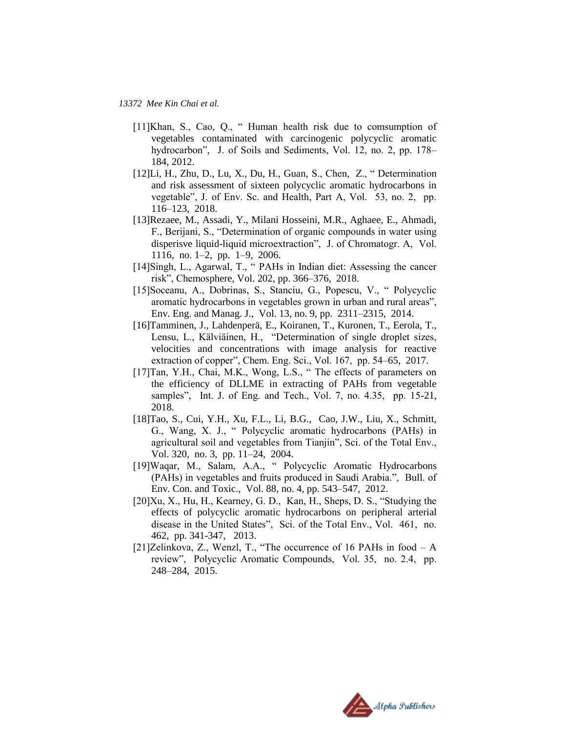- [11]Khan, S., Cao, Q., "Human health risk due to comsumption of vegetables contaminated with carcinogenic polycyclic aromatic hydrocarbon", J. of Soils and Sediments, Vol. 12, no. 2, pp. 178– 184, 2012.
- [12]Li, H., Zhu, D., Lu, X., Du, H., Guan, S., Chen, Z., " Determination and risk assessment of sixteen polycyclic aromatic hydrocarbons in vegetable", J. of Env. Sc. and Health, Part A, Vol. 53, no. 2, pp. 116–123, 2018.
- [13]Rezaee, M., Assadi, Y., Milani Hosseini, M.R., Aghaee, E., Ahmadi, F., Berijani, S., "Determination of organic compounds in water using disperisve liquid-liquid microextraction", J. of Chromatogr. A, Vol. 1116, no. 1–2, pp. 1–9, 2006.
- [14]Singh, L., Agarwal, T., " PAHs in Indian diet: Assessing the cancer risk", Chemosphere, Vol. 202, pp. 366–376, 2018.
- [15]Soceanu, A., Dobrinas, S., Stanciu, G., Popescu, V., " Polycyclic aromatic hydrocarbons in vegetables grown in urban and rural areas", Env. Eng. and Manag. J., Vol. 13, no. 9, pp. 2311–2315, 2014.
- [16]Tamminen, J., Lahdenperä, E., Koiranen, T., Kuronen, T., Eerola, T., Lensu, L., Kälviäinen, H., "Determination of single droplet sizes, velocities and concentrations with image analysis for reactive extraction of copper", Chem. Eng. Sci., Vol. 167, pp. 54–65, 2017.
- [17]Tan, Y.H., Chai, M.K., Wong, L.S., "The effects of parameters on the efficiency of DLLME in extracting of PAHs from vegetable samples", Int. J. of Eng. and Tech., Vol. 7, no. 4.35, pp. 15-21, 2018.
- [18]Tao, S., Cui, Y.H., Xu, F.L., Li, B.G., Cao, J.W., Liu, X., Schmitt, G., Wang, X. J., " Polycyclic aromatic hydrocarbons (PAHs) in agricultural soil and vegetables from Tianjin", Sci. of the Total Env., Vol. 320, no. 3, pp. 11–24, 2004.
- [19]Waqar, M., Salam, A.A., " Polycyclic Aromatic Hydrocarbons (PAHs) in vegetables and fruits produced in Saudi Arabia.", Bull. of Env. Con. and Toxic., Vol. 88, no. 4, pp. 543–547, 2012.
- [20]Xu, X., Hu, H., Kearney, G. D., Kan, H., Sheps, D. S., "Studying the effects of polycyclic aromatic hydrocarbons on peripheral arterial disease in the United States", Sci. of the Total Env., Vol. 461, no. 462, pp. 341-347, 2013.
- [21]Zelinkova, Z., Wenzl, T., "The occurrence of 16 PAHs in food A review", Polycyclic Aromatic Compounds, Vol. 35, no. 2.4, pp. 248–284, 2015.